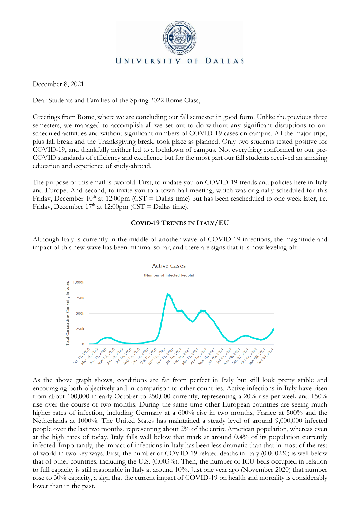

## December 8, 2021

Dear Students and Families of the Spring 2022 Rome Class,

Greetings from Rome, where we are concluding our fall semester in good form. Unlike the previous three semesters, we managed to accomplish all we set out to do without any significant disruptions to our scheduled activities and without significant numbers of COVID-19 cases on campus. All the major trips, plus fall break and the Thanksgiving break, took place as planned. Only two students tested positive for COVID-19, and thankfully neither led to a lockdown of campus. Not everything conformed to our pre-COVID standards of efficiency and excellence but for the most part our fall students received an amazing education and experience of study-abroad.

The purpose of this email is twofold. First, to update you on COVID-19 trends and policies here in Italy and Europe. And second, to invite you to a town-hall meeting, which was originally scheduled for this Friday, December  $10<sup>th</sup>$  at 12:00pm (CST = Dallas time) but has been rescheduled to one week later, i.e. Friday, December  $17<sup>th</sup>$  at  $12:00$ pm (CST = Dallas time).

## **COVID-19 TRENDS IN ITALY/EU**

Although Italy is currently in the middle of another wave of COVID-19 infections, the magnitude and impact of this new wave has been minimal so far, and there are signs that it is now leveling off.



As the above graph shows, conditions are far from perfect in Italy but still look pretty stable and encouraging both objectively and in comparison to other countries. Active infections in Italy have risen from about 100,000 in early October to 250,000 currently, representing a 20% rise per week and 150% rise over the course of two months. During the same time other European countries are seeing much higher rates of infection, including Germany at a 600% rise in two months, France at 500% and the Netherlands at 1000%. The United States has maintained a steady level of around 9,000,000 infected people over the last two months, representing about 2% of the entire American population, whereas even at the high rates of today, Italy falls well below that mark at around 0.4% of its population currently infected. Importantly, the impact of infections in Italy has been less dramatic than that in most of the rest of world in two key ways. First, the number of COVID-19 related deaths in Italy (0.0002%) is well below that of other countries, including the U.S. (0.003%). Then, the number of ICU beds occupied in relation to full capacity is still reasonable in Italy at around 10%. Just one year ago (November 2020) that number rose to 30% capacity, a sign that the current impact of COVID-19 on health and mortality is considerably lower than in the past.